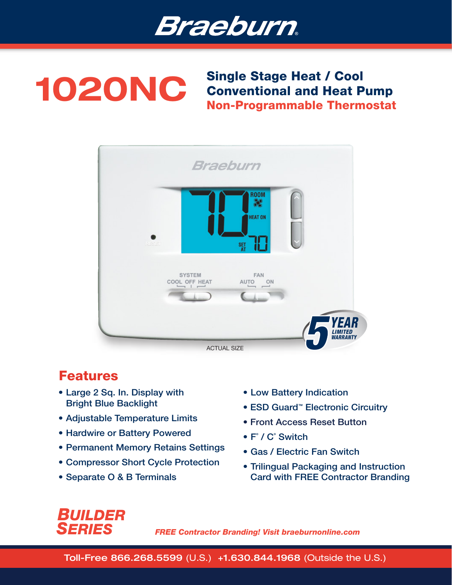

# 1020NC Single Stage Heat / Cool<br>Conventional and Heat P Conventional and Heat Pump Non-Programmable Thermostat



# Features

- Large 2 Sq. In. Display with Bright Blue Backlight
- Adjustable Temperature Limits
- Hardwire or Battery Powered
- Permanent Memory Retains Settings
- Compressor Short Cycle Protection
- Separate O & B Terminals
- Low Battery Indication
- ESD Guard<sup>™</sup> Electronic Circuitry
- Front Access Reset Button
- F˚ / C˚ Switch
- Gas / Electric Fan Switch
- Trilingual Packaging and Instruction Card with FREE Contractor Branding

# *BUILDER SERIES*

*FREE Contractor Branding! Visit braeburnonline.com*

Toll-Free 866.268.5599 (U.S.) +1.630.844.1968 (Outside the U.S.)